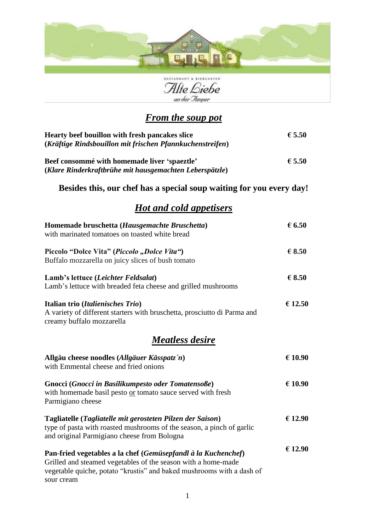



### *From the soup pot*

| Hearty beef bouillon with fresh pancakes slice<br>(Kräftige Rindsbouillon mit frischen Pfannkuchenstreifen) | € 5.50 |
|-------------------------------------------------------------------------------------------------------------|--------|
| Beef consommé with homemade liver 'spaeztle'<br>(Klare Rinderkraftbrühe mit hausgemachten Leberspätzle)     | € 5.50 |

#### **Besides this, our chef has a special soup waiting for you every day!**

### *Hot and cold appetisers*

| Homemade bruschetta (Hausgemachte Bruschetta)<br>with marinated tomatoes on toasted white bread                                                                                                                       | $\epsilon$ 6.50 |
|-----------------------------------------------------------------------------------------------------------------------------------------------------------------------------------------------------------------------|-----------------|
| Piccolo "Dolce Vita" (Piccolo "Dolce Vita")<br>Buffalo mozzarella on juicy slices of bush tomato                                                                                                                      | $\epsilon$ 8.50 |
| Lamb's lettuce (Leichter Feldsalat)<br>Lamb's lettuce with breaded feta cheese and grilled mushrooms                                                                                                                  | $\epsilon$ 8.50 |
| Italian trio (Italienisches Trio)<br>A variety of different starters with bruschetta, prosciutto di Parma and<br>creamy buffalo mozzarella                                                                            | € 12.50         |
| <u>Meatless desire</u>                                                                                                                                                                                                |                 |
| Allgäu cheese noodles (Allgäuer Kässpatz'n)<br>with Emmental cheese and fried onions                                                                                                                                  | € 10.90         |
| Gnocci (Gnocci in Basilikumpesto oder Tomatensoße)<br>with homemade basil pesto or tomato sauce served with fresh<br>Parmigiano cheese                                                                                | € 10.90         |
| Tagliatelle (Tagliatelle mit gerosteten Pilzen der Saison)<br>type of pasta with roasted mushrooms of the season, a pinch of garlic<br>and original Parmigiano cheese from Bologna                                    | € 12.90         |
| Pan-fried vegetables a la chef (Gemüsepfandl à la Kuchenchef)<br>Grilled and steamed vegetables of the season with a home-made<br>vegetable quiche, potato "krustis" and baked mushrooms with a dash of<br>sour cream | € 12.90         |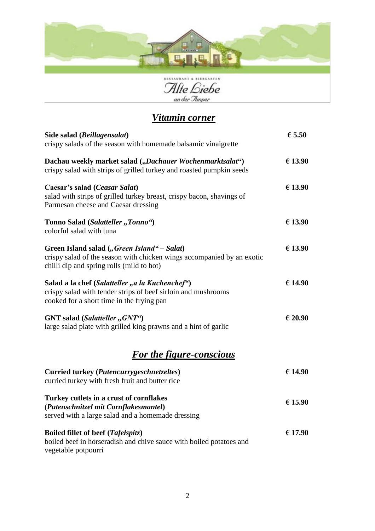

Alte Biebe

# *Vitamin corner*

| Side salad (Beillagensalat)                                                                                                                                        | $\epsilon$ 5.50 |
|--------------------------------------------------------------------------------------------------------------------------------------------------------------------|-----------------|
| crispy salads of the season with homemade balsamic vinaigrette                                                                                                     |                 |
| Dachau weekly market salad ("Dachauer Wochenmarktsalat")<br>crispy salad with strips of grilled turkey and roasted pumpkin seeds                                   | € 13.90         |
| Caesar's salad (Ceasar Salat)<br>salad with strips of grilled turkey breast, crispy bacon, shavings of<br>Parmesan cheese and Caesar dressing                      | € 13.90         |
| Tonno Salad (Salatteller "Tonno")<br>colorful salad with tuna                                                                                                      | € 13.90         |
| Green Island salad ("Green Island" – Salat)<br>crispy salad of the season with chicken wings accompanied by an exotic<br>chilli dip and spring rolls (mild to hot) | € 13.90         |
| Salad a la chef (Salatteller "a la Kuchenchef")<br>crispy salad with tender strips of beef sirloin and mushrooms<br>cooked for a short time in the frying pan      | € 14.90         |
| GNT salad (Salatteller, GNT")<br>large salad plate with grilled king prawns and a hint of garlic                                                                   | € 20.90         |
| <b>For the figure-conscious</b>                                                                                                                                    |                 |
| Curried turkey (Putencurrygeschnetzeltes)<br>curried turkey with fresh fruit and butter rice                                                                       | € 14.90         |
| Turkey cutlets in a crust of cornflakes<br>(Putenschnitzel mit Cornflakesmantel)<br>served with a large salad and a homemade dressing                              | € 15.90         |
| Boiled fillet of beef (Tafelspitz)<br>boiled beef in horseradish and chive sauce with boiled potatoes and<br>vegetable potpourri                                   | € 17.90         |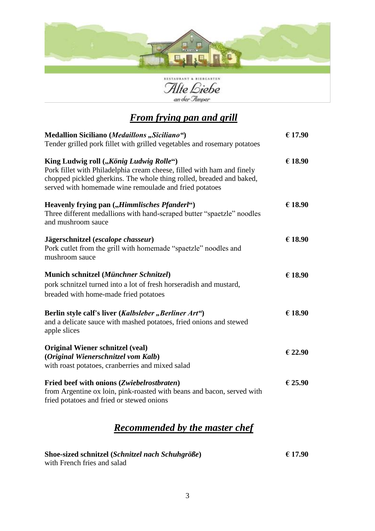



## *From frying pan and grill*

| Medallion Siciliano (Medaillons "Siciliano")<br>Tender grilled pork fillet with grilled vegetables and rosemary potatoes                                                                                                                            | € 17.90 |
|-----------------------------------------------------------------------------------------------------------------------------------------------------------------------------------------------------------------------------------------------------|---------|
| King Ludwig roll ("König Ludwig Rolle")<br>Pork fillet with Philadelphia cream cheese, filled with ham and finely<br>chopped pickled gherkins. The whole thing rolled, breaded and baked,<br>served with homemade wine remoulade and fried potatoes | € 18.90 |
| Heavenly frying pan ("Himmlisches Pfanderl")<br>Three different medallions with hand-scraped butter "spaetzle" noodles<br>and mushroom sauce                                                                                                        | € 18.90 |
| Jägerschnitzel (escalope chasseur)<br>Pork cutlet from the grill with homemade "spaetzle" noodles and<br>mushroom sauce                                                                                                                             | € 18.90 |
| Munich schnitzel (Münchner Schnitzel)<br>pork schnitzel turned into a lot of fresh horseradish and mustard,<br>breaded with home-made fried potatoes                                                                                                | € 18.90 |
| Berlin style calf's liver (Kalbsleber, Berliner Art")<br>and a delicate sauce with mashed potatoes, fried onions and stewed<br>apple slices                                                                                                         | € 18.90 |
| <b>Original Wiener schnitzel (veal)</b><br>(Original Wienerschnitzel vom Kalb)<br>with roast potatoes, cranberries and mixed salad                                                                                                                  | € 22.90 |
| Fried beef with onions (Zwiebelrostbraten)<br>from Argentine ox loin, pink-roasted with beans and bacon, served with<br>fried potatoes and fried or stewed onions                                                                                   | € 25.90 |

### *Recommended by the master chef*

| Shoe-sized schnitzel (Schnitzel nach Schuhgröße) | € 17.90 |
|--------------------------------------------------|---------|
| with French fries and salad                      |         |